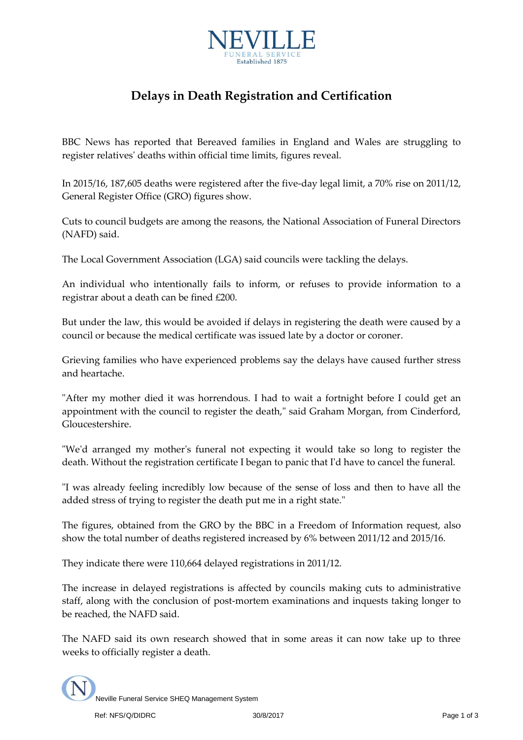

## **Delays in Death Registration and Certification**

BBC News has reported that Bereaved families in England and Wales are struggling to register relatives' deaths within official time limits, figures reveal.

In 2015/16, 187,605 deaths were registered after the five-day legal limit, a 70% rise on 2011/12, General Register Office (GRO) figures show.

Cuts to council budgets are among the reasons, the National Association of Funeral Directors (NAFD) said.

The Local Government Association (LGA) said councils were tackling the delays.

An individual who intentionally fails to inform, or refuses to provide information to a registrar about a death can be fined £200.

But under the law, this would be avoided if delays in registering the death were caused by a council or because the medical certificate was issued late by a doctor or coroner.

Grieving families who have experienced problems say the delays have caused further stress and heartache.

"After my mother died it was horrendous. I had to wait a fortnight before I could get an appointment with the council to register the death," said Graham Morgan, from Cinderford, Gloucestershire.

"We'd arranged my mother's funeral not expecting it would take so long to register the death. Without the registration certificate I began to panic that I'd have to cancel the funeral.

"I was already feeling incredibly low because of the sense of loss and then to have all the added stress of trying to register the death put me in a right state."

The figures, obtained from the GRO by the BBC in a Freedom of Information request, also show the total number of deaths registered increased by 6% between 2011/12 and 2015/16.

They indicate there were 110,664 delayed registrations in 2011/12.

The increase in delayed registrations is affected by councils making cuts to administrative staff, along with the conclusion of post-mortem examinations and inquests taking longer to be reached, the NAFD said.

The NAFD said its own research showed that in some areas it can now take up to three weeks to officially register a death.

Neville Funeral Service SHEQ Management System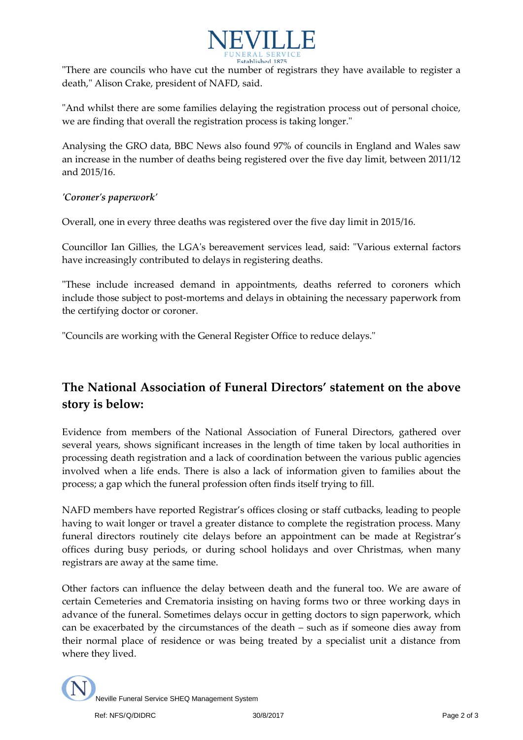

"There are councils who have cut the number of registrars they have available to register a death," Alison Crake, president of NAFD, said.

"And whilst there are some families delaying the registration process out of personal choice, we are finding that overall the registration process is taking longer."

Analysing the GRO data, BBC News also found 97% of councils in England and Wales saw an increase in the number of deaths being registered over the five day limit, between 2011/12 and 2015/16.

## *'Coroner's paperwork'*

Overall, one in every three deaths was registered over the five day limit in 2015/16.

Councillor Ian Gillies, the LGA's bereavement services lead, said: "Various external factors have increasingly contributed to delays in registering deaths.

"These include increased demand in appointments, deaths referred to coroners which include those subject to post-mortems and delays in obtaining the necessary paperwork from the certifying doctor or coroner.

"Councils are working with the General Register Office to reduce delays."

## **The National Association of Funeral Directors' statement on the above story is below:**

Evidence from members of the National Association of Funeral Directors, gathered over several years, shows significant increases in the length of time taken by local authorities in processing death registration and a lack of coordination between the various public agencies involved when a life ends. There is also a lack of information given to families about the process; a gap which the funeral profession often finds itself trying to fill.

NAFD members have reported Registrar's offices closing or staff cutbacks, leading to people having to wait longer or travel a greater distance to complete the registration process. Many funeral directors routinely cite delays before an appointment can be made at Registrar's offices during busy periods, or during school holidays and over Christmas, when many registrars are away at the same time.

Other factors can influence the delay between death and the funeral too. We are aware of certain Cemeteries and Crematoria insisting on having forms two or three working days in advance of the funeral. Sometimes delays occur in getting doctors to sign paperwork, which can be exacerbated by the circumstances of the death – such as if someone dies away from their normal place of residence or was being treated by a specialist unit a distance from where they lived.